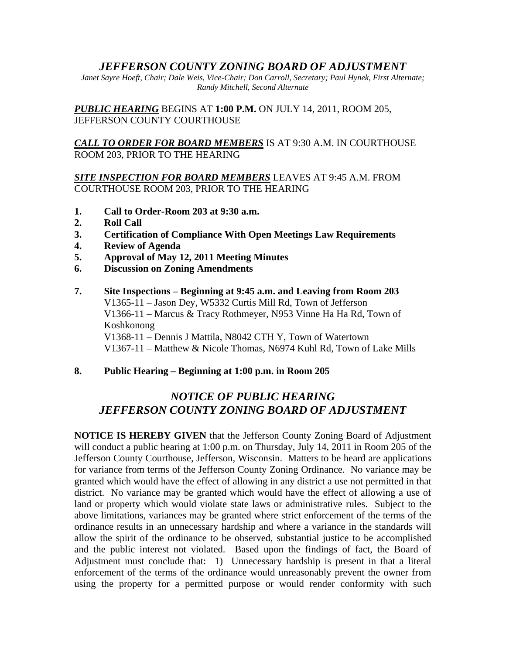# *JEFFERSON COUNTY ZONING BOARD OF ADJUSTMENT*

*Janet Sayre Hoeft, Chair; Dale Weis, Vice-Chair; Don Carroll, Secretary; Paul Hynek, First Alternate; Randy Mitchell, Second Alternate* 

*PUBLIC HEARING* BEGINS AT **1:00 P.M.** ON JULY 14, 2011, ROOM 205, JEFFERSON COUNTY COURTHOUSE

## *CALL TO ORDER FOR BOARD MEMBERS* IS AT 9:30 A.M. IN COURTHOUSE ROOM 203, PRIOR TO THE HEARING

## *SITE INSPECTION FOR BOARD MEMBERS* LEAVES AT 9:45 A.M. FROM COURTHOUSE ROOM 203, PRIOR TO THE HEARING

- **1. Call to Order-Room 203 at 9:30 a.m.**
- **2. Roll Call**
- **3. Certification of Compliance With Open Meetings Law Requirements**
- **4. Review of Agenda**
- **5. Approval of May 12, 2011 Meeting Minutes**
- **6. Discussion on Zoning Amendments**
- **7. Site Inspections Beginning at 9:45 a.m. and Leaving from Room 203**  V1365-11 – Jason Dey, W5332 Curtis Mill Rd, Town of Jefferson V1366-11 – Marcus & Tracy Rothmeyer, N953 Vinne Ha Ha Rd, Town of Koshkonong V1368-11 – Dennis J Mattila, N8042 CTH Y, Town of Watertown V1367-11 – Matthew & Nicole Thomas, N6974 Kuhl Rd, Town of Lake Mills
- **8. Public Hearing Beginning at 1:00 p.m. in Room 205**

# *NOTICE OF PUBLIC HEARING JEFFERSON COUNTY ZONING BOARD OF ADJUSTMENT*

**NOTICE IS HEREBY GIVEN** that the Jefferson County Zoning Board of Adjustment will conduct a public hearing at 1:00 p.m. on Thursday, July 14, 2011 in Room 205 of the Jefferson County Courthouse, Jefferson, Wisconsin. Matters to be heard are applications for variance from terms of the Jefferson County Zoning Ordinance. No variance may be granted which would have the effect of allowing in any district a use not permitted in that district. No variance may be granted which would have the effect of allowing a use of land or property which would violate state laws or administrative rules. Subject to the above limitations, variances may be granted where strict enforcement of the terms of the ordinance results in an unnecessary hardship and where a variance in the standards will allow the spirit of the ordinance to be observed, substantial justice to be accomplished and the public interest not violated. Based upon the findings of fact, the Board of Adjustment must conclude that: 1) Unnecessary hardship is present in that a literal enforcement of the terms of the ordinance would unreasonably prevent the owner from using the property for a permitted purpose or would render conformity with such